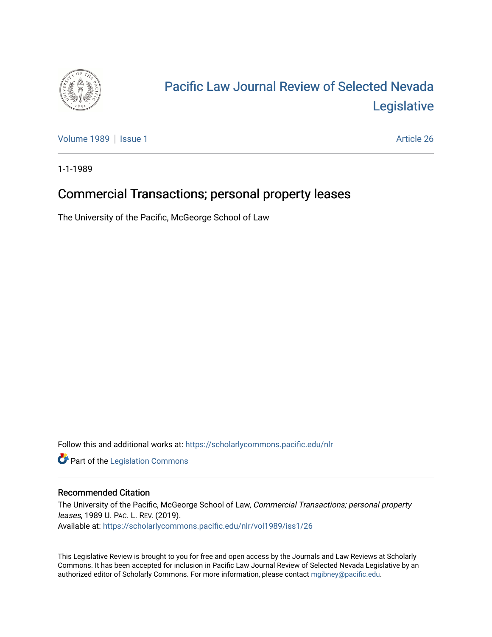

# [Pacific Law Journal Review of Selected Nevada](https://scholarlycommons.pacific.edu/nlr)  [Legislative](https://scholarlycommons.pacific.edu/nlr)

[Volume 1989](https://scholarlycommons.pacific.edu/nlr/vol1989) | [Issue 1](https://scholarlycommons.pacific.edu/nlr/vol1989/iss1) Article 26

1-1-1989

# Commercial Transactions; personal property leases

The University of the Pacific, McGeorge School of Law

Follow this and additional works at: [https://scholarlycommons.pacific.edu/nlr](https://scholarlycommons.pacific.edu/nlr?utm_source=scholarlycommons.pacific.edu%2Fnlr%2Fvol1989%2Fiss1%2F26&utm_medium=PDF&utm_campaign=PDFCoverPages) 

**Part of the [Legislation Commons](http://network.bepress.com/hgg/discipline/859?utm_source=scholarlycommons.pacific.edu%2Fnlr%2Fvol1989%2Fiss1%2F26&utm_medium=PDF&utm_campaign=PDFCoverPages)** 

## Recommended Citation

The University of the Pacific, McGeorge School of Law, Commercial Transactions; personal property leases, 1989 U. PAC. L. REV. (2019). Available at: [https://scholarlycommons.pacific.edu/nlr/vol1989/iss1/26](https://scholarlycommons.pacific.edu/nlr/vol1989/iss1/26?utm_source=scholarlycommons.pacific.edu%2Fnlr%2Fvol1989%2Fiss1%2F26&utm_medium=PDF&utm_campaign=PDFCoverPages)

This Legislative Review is brought to you for free and open access by the Journals and Law Reviews at Scholarly Commons. It has been accepted for inclusion in Pacific Law Journal Review of Selected Nevada Legislative by an authorized editor of Scholarly Commons. For more information, please contact [mgibney@pacific.edu](mailto:mgibney@pacific.edu).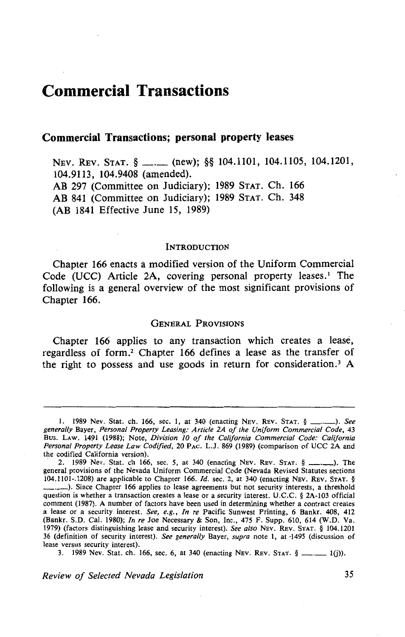# **Commercial Transactions**

### **Commercial Transactions; personal property leases**

NEV. REV. STAT. § \_\_. (new); §§ 104.1101, 104.1105, 104.1201, 104.9113, 104.9408 (amended). AB 297 (Committee on Judiciary); 1989 STAT. Ch. 166 AB 841 (Committee on Judiciary); 1989 STAT. Ch. 348 (AB 1841 Effective June 15, 1989)

#### **INTRODUCTION**

Chapter 166 enacts a modified version of the Uniform Commercial Code (UCC) Article 2A, covering personal property leases.<sup>1</sup> The following is a general overview of the most significant provisions of Chapter 166.

#### GENERAL PROVISIONS

Chapter 166 applies to any transaction which creates a lease, regardless of form.<sup>2</sup> Chapter 166 defines a lease as the transfer of the right to possess and use goods in return for consideration.<sup>3</sup> A

3. 1989 Nev. Stat. ch. 166, sec. 6, at 340 (enacting Nev. Rev. STAT.  $\S$  \_\_\_\_\_\_\_ 1(j)).

<sup>1. 1989</sup> Nev. Stat. ch. 166, sec. 1, at 340 (enacting Nev. Rev. STAT. § \_\_\_\_\_\_\_). See *generally* Bayer, *Personal Property Leasing: Article 2A of the Uniform Commercial Code,* 43 Bus. LAw. 1491 (1988); Note, *Division 10 of the California Commercial Code: California Personal Property Lease Law Codified,* 20 PAC. L.J. 869 (1989) (comparison of UCC 2A and the codified California version).

<sup>2. 1989</sup> Nev. Stat. ch 166, sec. 5, at 340 (enacting NEV. REV. STAT. § \_\_\_\_\_\_\_). The general provisions of the Nevada Uniform Commercial Code (Nevada Revised Statutes sections 104.1101-.1208) are applicable to Chapter 166. */d.* sec. 2, at 340 (enacting NEv. REv. STAT. § -·-.-). Since Chapter 166 applies to lease agreements but not security interests, a threshold question is whether a transaction creates a lease or a security interest. U.C.C. § 2A-103 official comment (1987). A number of factors have been used in determining whether a contract creates a lease or a security interest. *See, e.g., In re* Pacific Sunwest Printing, 6 Bankr. 408, 412 (Bankr. S.D. Cal. 1980); *In re* Joe Necessary & Son, Inc., 475 F. Supp. 610, 614 (W.D. Va. 1979) (factors distinguishing lease and security interest). *See also* NEv. REv. STAT. § 104.1201 36 (definition of security interest). *See generally* Bayer, *supra* note 1, at -1495 (discussion of lease versus security interest).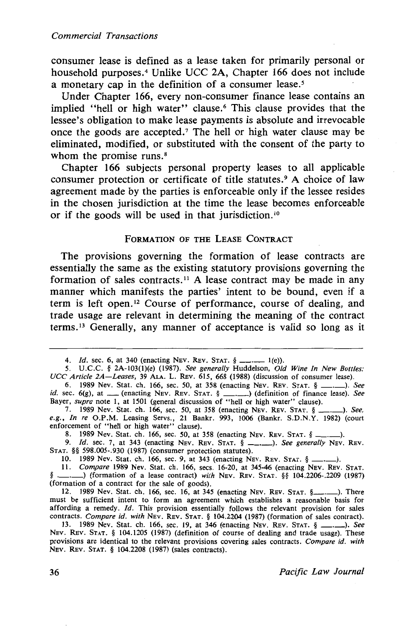consumer lease is defined as a lease taken for primarily personal or household purposes.<sup>4</sup> Unlike UCC 2A, Chapter 166 does not include a monetary cap in the definition of a consumer lease.<sup>5</sup>

Under Chapter 166, every non-consumer finance lease contains an implied "hell or high water" clause.<sup>6</sup> This clause provides that the lessee's obligation to make lease payments is absolute and irrevocable once the goods are accepted. 7 The hell or high water clause may be eliminated, modified, or substituted with the consent of the party to whom the promise runs.<sup>8</sup>

Chapter 166 subjects personal property leases to all applicable consumer protection or certificate of title statutes.<sup>9</sup> A choice of law agreement made by the parties is enforceable only if the lessee resides in the chosen jurisdiction at the time the lease becomes enforceable or if the goods will be used in that jurisdiction. <sup>10</sup>

#### FORMATION OF THE LEASE CONTRACT

The provisions governing the formation of lease contracts are essentially the same as the existing statutory provisions governing the formation of sales contracts.<sup>11</sup> A lease contract may be made in any manner which manifests the parties' intent to be bound, even if a term is left open.<sup>12</sup> Course of performance, course of dealing, and trade usage are relevant in determining the meaning of the contract terms. 13 Generally, any manner of acceptance is valid so long as it

8. 1989 Nev. Stat. ch. 166, sec. 50, at 358 (enacting Nev. Rev. STAT.  $\S =$  9. Id. sec. 7. at 343 (enacting Nev. Rev. STAT.  $\S =$  ...). See general

<sup>4.</sup> *Id.* sec. 6, at 340 (enacting Nev. Rev. STAT.  $\oint$  \_\_\_. \_\_\_ 1(e)).

*<sup>5.</sup>* U.C.C. § 2A-103(1)(e) (1987). *See generally* Huddelson, *Old Wine In New Bottles: UCC Article 2A-Leases,* 39 ALA. L. REv. 615, 668 (1988) (discussion of consumer lease).

<sup>6. 1989</sup> Nev. Stat. ch. 166, sec. 50, at 358 (enacting NEv. REv. STAT. § \_.\_). *See id.* sec. 6(g), at \_\_ (enacting NEV. REV. STAT. § \_\_\_\_\_) (definition of finance lease). See Bayer, *supra* note 1, at 1501 (general discussion of "hell or high water" clause).

<sup>7. 1989</sup> Nev. Stat. ch. 166, sec. 50, at 358 (enacting NEv. REv. STAT. § \_.\_). *See, e.g., In re* O.P.M. Leasing Servs., 21 Bankr. 993, 1006 (Bankr. S.D.N.Y. 1982) (court enforcement of "hell or high water" clause).

<sup>9.</sup> *!d.* sec. 7, at 343 (enacting NEv. REv. STAT. § \_.\_). *See generally* NEv. REv. STAT. §§ 598.005-.930 (1987) (consumer protection statutes).

<sup>10. 1989</sup> Nev. Stat. ch. 166, sec. 9, at 343 (enacting NEv. REv. STAT. § -·->·

<sup>11.</sup> *Compare* 1989 Nev. Stat. ch. 166, secs. 16-20, at 345-46 (enacting NEV. REV. STAT. §<br>
§ 104.2206-.2209 (1987)<br>
<sup>§</sup> 104.2206-.2209 (1987) (formation of a contract for the sale of goods).

<sup>12. 1989</sup> Nev. Stat. ch. 166, sec. 16, at 345 (enacting NEv. REv. STAT. §\_.\_). There must be sufficient intent to form an agreement which establishes a reasonable basis for affording a remedy. *Id.* This provision essentially follows the relevant provision for sales contracts. *Compare id. with* NEv. REv. STAT. § 104.2204 (1987) (formation of sales contract).

<sup>13. 1989</sup> Nev. Stat. ch. 166, sec. 19, at 346 (enacting NEv. REv. STAT. § \_.\_). *See*  NEv. REv. STAT. § 104.1205 (1987) (definition of course of dealing and trade usage). These provisions are identical to the relevant provisions covering sales contracts. *Compare id. with*  NEv. REv. STAT. § 104.2208 (1987) (sales contracts).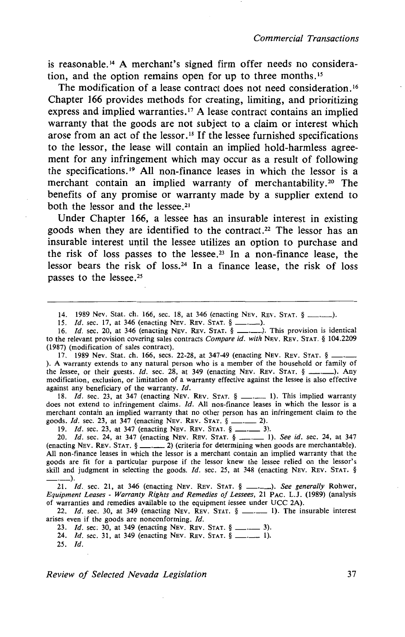is reasonable.<sup>14</sup> A merchant's signed firm offer needs no consideration, and the option remains open for up to three months. <sup>15</sup>

The modification of a lease contract does not need consideration.<sup>16</sup> Chapter 166 provides methods for creating, limiting, and prioritizing express and implied warranties.<sup>17</sup> A lease contract contains an implied warranty that the goods are not subject to a claim or interest which arose from an act of the lessor.<sup>18</sup> If the lessee furnished specifications to the lessor, the lease will contain an implied hold-harmless agreement for any infringement which may occur as a result of following the specifications. 19 All non-finance leases in which the lessor is a merchant contain an implied warranty of merchantability.<sup>20</sup> The benefits of any promise or warranty made by a supplier extend to both the lessor and the lessee. 21

Under Chapter 166, a lessee has an insurable interest in existing goods when they are identified to the contract.<sup>22</sup> The lessor has an insurable interest until the lessee utilizes an option to purchase and the risk of loss passes to the lessee.<sup>23</sup> In a non-finance lease, the lessor bears the risk of loss.<sup>24</sup> In a finance lease, the risk of loss passes to the lessee.<sup>25</sup>

14. 1989 Nev. Stat. ch. 166, sec. 18, at 346 (enacting Nev. Rev. Stat.  $\S$  \_\_\_\_\_\_).

15. *Id.* sec. 17, at 346 (enacting Nev. Rev. STAT. § \_\_\_\_\_\_).

16. *Id.* sec. 20, at 346 (enacting Nev. Rev. Stat. § \_\_\_\_\_). This provision is identical to the relevant provision covering sales contracts *Compare id. with* NEv. REv. STAT. § 104.2209 (1987) (modification of sales contract).

17. 1989 Nev. Stat. ch. 166, secs. 22-28, at 347-49 (enacting Nev. Rev. Stat. § ). A warranty extends to any natural person who is a member of the household or family of the lessee, or their guests.  $Id$ , sec. 28, at 349 (enacting NEV. REV. STAT.  $\S$  \_\_\_\_\_). Any modification, exclusion, or limitation of a warranty effective against the lessee is also effective against any beneficiary of the warranty. *ld.* 

18. *Id.* sec. 23, at 347 (enacting NEV. REV. STAT. § \_\_\_\_\_\_\_\_ 1). This implied warranty does not extend to infringement claims. *Id.* All non-finance leases in which the lessor is a merchant contain an implied warranty that no other person has an infringement claim to the goods not extend to infringement claims. *Id.* All non-infance lease<br>merchant contain an implied warranty that no other person has an<br>goods. *Id.* sec. 23, at 347 (enacting NEV. REV. STAT. § -------------------------------19. /d. sec. 23, at 347 (enacting NEv. REv. STAT. § -·- 3).

20. *Id.* sec. 23, at 347 (enacting NEV. REV. STAT. § -------- 2).<br>19. *Id.* sec. 23, at 347 (enacting NEV. REV. STAT. § ------- 1).<br>20. *Id.* sec. 24, at 347 (enacting NEV. REV. STAT. § ------- 1). *See id.* sec. 24, at 3 (enacting NEv. REv. STAT. § -·- 2) (criteria for determining when goods are merchantable). All non-finance leases in which the lessor is a merchant contain an implied warranty that the goods are fit for a particular purpose if the lessor knew the lessee relied on the lessor's skill and judgment in selecting the goods. *Id.* sec. 25, at 348 (enacting NEV. REV. STAT. §

21. *ld.* sec. 21, at 346 (enacting NEv. REv. STAT. § \_\_\_ ). *See generally* Rohwer, *Equipment Leases- Warranty Rights and Remedies of Lessees,* 21 PAc. L.J. (1989) (analysis of warranties and remedies available to the equipment lessee under UCC 2A).

22. *Id.* sec. 30, at 349 (enacting Nev. Rev. STAT.  $\S$  \_\_\_\_\_\_\_\_ 1). The insurable interest arises even if the goods are nonconforming. *Id.*  22. *Id.* sec. 30, at 349 (enacting NEV. REV. STAT. §  $\frac{1}{2}$ .<br>es even if the goods are nonconforming. *Id.*<br>23. *Id.* sec. 30, at 349 (enacting NEV. REV. STAT. §  $\frac{1}{2}$ ... 3).

23. *Id.* sec. 30, at 349 (enacting Nev. Rev. Stat. § \_\_\_\_\_\_ 3).<br>24. *Id.* sec. 31, at 349 (enacting Nev. Rev. Stat. § \_\_\_\_\_\_ 1).<br>25. *Id.* 

*Review of Selected Nevada Legislation* 37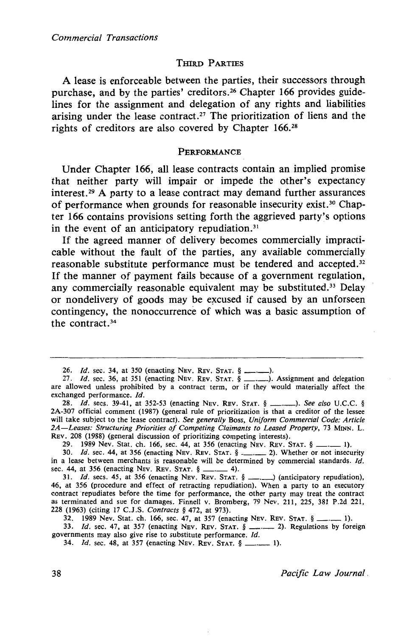### THIRD PARTIES

A lease is enforceable between the parties, their successors through purchase, and by the parties' creditors.<sup>26</sup> Chapter 166 provides guidelines for the assignment and delegation of any rights and liabilities arising under the lease contract.<sup>27</sup> The prioritization of liens and the rights of creditors are also covered by Chapter 166.28

#### **PERFORMANCE**

Under Chapter 166, all lease contracts contain an implied promise that neither party will impair or impede the other's expectancy interest. 29 A party to a lease contract may demand further assurances of performance when grounds for reasonable insecurity exist.<sup>30</sup> Chapter 166 contains provisions setting forth the aggrieved party's options in the event of an anticipatory repudiation. $31$ 

If the agreed manner of delivery becomes commercially impracticable without the fault of the parties, any available commercially reasonable substitute performance must be tendered and accepted. 32 If the manner of payment fails because of a government regulation, any commercially reasonable equivalent may be substituted.<sup>33</sup> Delay or nondelivery of goods may be excused if caused by an unforseen contingency, the nonoccurrence of which was a basic assumption of the contract. <sup>34</sup>

26. *Id.* sec. 34, at 350 (enacting NEV. REV. STAT. § ...................).<br>27. *Id.* sec. 36, at 351 (enacting NEV. REV. STAT. § ..............). Assignment and delegation are allowed unless prohibited by a contract term, or if they would materially affect the exchanged performance. Jd.

28. *Id.* secs. 39-41, at 352-53 (enacting NEV. REV. STAT. § \_\_\_\_\_\_\_). See also U.C.C. § 2A-307 official comment (1987) (general rule of prioritization is that a creditor of the lessee will take subject to the lease contract). *See generally* Boss, *Uniform Commercial Code: Article 2A-Leases: Structuring Priorities of Competing Claimants to Leased Property,* 73 MINN. L. REv. 208 (1988) (general discussion of prioritizing competing interests).

29. 1989 Nev. Stat. ch. 166, sec. 44, at 356 (enacting Nev. Rev. STAT. § \_\_

30. *Id.* sec. 44, at 356 (enacting NEV. REV. STAT. § \_\_\_\_\_\_\_ 2). Whether or not insecurity 30. *Id.* sec. 44, at 356 (enacting NEV. REV. STAT. § ------ 2). Whether or not insecurity<br>in a lease between merchants is reasonable will be determined by commercial standards. *Id.*<br>sec. 44, at 356 (enacting NEV. Rev. St 31. *Id.* sees. 45, at 356 (enacting NEv. REv. STAT. § -·-> (anticipatory repudiation),

46, at 356 (procedure and effect of retracting repudiation). When a party to an executory contract repudiates before the time for performance, the other party may treat the contract as terminated and sue for damages. Finnell v. Bromberg, 79 Nev. 211, 225, 381 P.2d 221, 228 (1963) (citing 17 C.J .S. *Contracts* § 472, at 973). 32. 1989 Nev. Stat. ch. 166, sec. 47, at 973).<br>32. 1989 Nev. Stat. ch. 166, sec. 47, at 357 (enacting NEv. REv. STAT. § ---- 1).<br>32. 1989 Nev. Stat. ch. 166, sec. 47, at 357 (enacting NEv. REv. STAT. § ----- 1).

(1963) (clung 1/ C.J.S. Contracts § 4/2, at 9/3).<br>32. 1989 Nev. Stat. ch. 166, sec. 47, at 357 (enacting NEV. REV. STAT. § \_\_\_\_\_\_\_ 1).<br>33. *Id.* sec. 47, at 357 (enacting NEV. REV. STAT. § \_\_\_\_\_\_\_\_ 2). Regulations by fore governments may also give rise to substitute performance. *Id.*  $34$ . *Id.* sec. 48, at 357 (enacting Nev. Rev. STAT. §  $\frac{1}{2}$ . 1).

38 *Pacific Law Journal.*